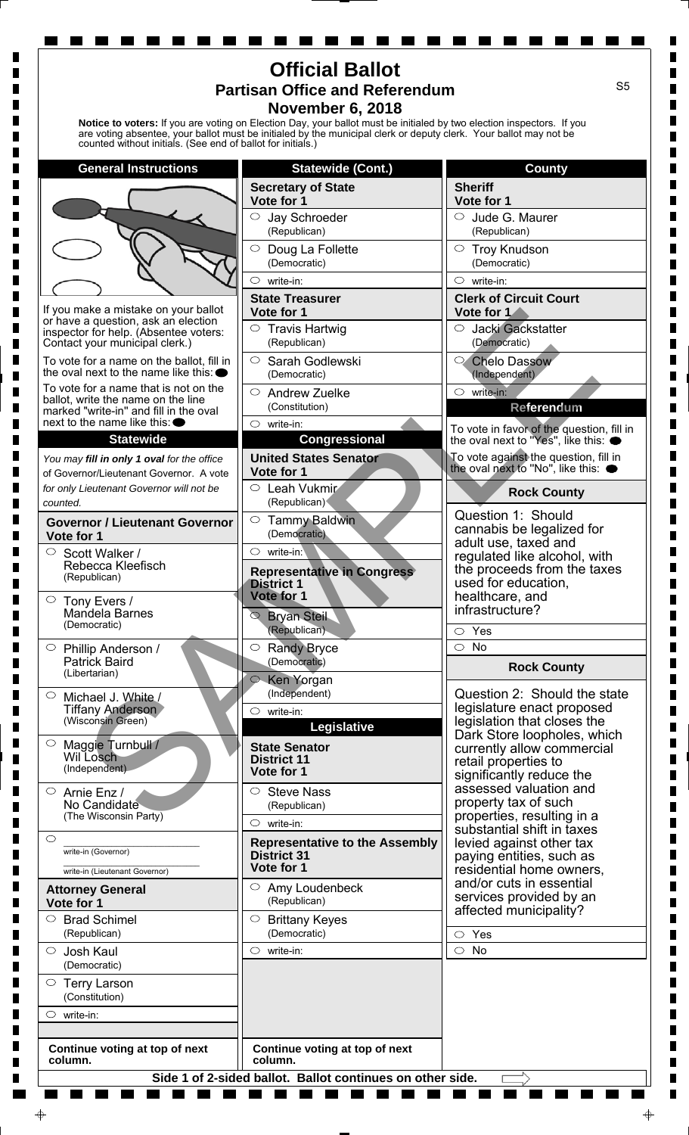| <b>Official Ballot</b><br>S <sub>5</sub><br><b>Partisan Office and Referendum</b><br><b>November 6, 2018</b><br>Notice to voters: If you are voting on Election Day, your ballot must be initialed by two election inspectors. If you<br>are voting absentee, your ballot must be initialed by the municipal clerk or deputy clerk. Your ballot may not be<br>counted without initials. (See end of ballot for initials.) |                                                             |                                                                                 |
|---------------------------------------------------------------------------------------------------------------------------------------------------------------------------------------------------------------------------------------------------------------------------------------------------------------------------------------------------------------------------------------------------------------------------|-------------------------------------------------------------|---------------------------------------------------------------------------------|
| <b>General Instructions</b>                                                                                                                                                                                                                                                                                                                                                                                               | <b>Statewide (Cont.)</b>                                    | <b>County</b>                                                                   |
|                                                                                                                                                                                                                                                                                                                                                                                                                           | <b>Secretary of State</b>                                   | <b>Sheriff</b>                                                                  |
|                                                                                                                                                                                                                                                                                                                                                                                                                           | Vote for 1<br>$\circlearrowright$                           | Vote for 1                                                                      |
|                                                                                                                                                                                                                                                                                                                                                                                                                           | Jay Schroeder<br>(Republican)                               | Jude G. Maurer<br>$\circ$<br>(Republican)                                       |
|                                                                                                                                                                                                                                                                                                                                                                                                                           | $\bigcirc$<br>Doug La Follette                              | $\circ$<br><b>Troy Knudson</b>                                                  |
|                                                                                                                                                                                                                                                                                                                                                                                                                           | (Democratic)<br>$\circlearrowright$<br>write-in:            | (Democratic)<br>$\circ$ write-in:                                               |
|                                                                                                                                                                                                                                                                                                                                                                                                                           | <b>State Treasurer</b>                                      | <b>Clerk of Circuit Court</b>                                                   |
| If you make a mistake on your ballot<br>or have a question, ask an election                                                                                                                                                                                                                                                                                                                                               | Vote for 1                                                  | Vote for 1                                                                      |
| inspector for help. (Absentee voters:<br>Contact your municipal clerk.)                                                                                                                                                                                                                                                                                                                                                   | $\circ$ Travis Hartwig<br>(Republican)                      | Jacki Gackstatter<br>$\circ$<br>(Democratic)                                    |
| To vote for a name on the ballot, fill in<br>the oval next to the name like this: $\bullet$                                                                                                                                                                                                                                                                                                                               | $\circ$<br>Sarah Godlewski<br>(Democratic)                  | <b>Chelo Dassow</b><br>0,<br>(Independent)                                      |
| To vote for a name that is not on the                                                                                                                                                                                                                                                                                                                                                                                     | $\circ$<br><b>Andrew Zuelke</b>                             | $\circ$ write-in:                                                               |
| ballot, write the name on the line<br>marked "write-in" and fill in the oval                                                                                                                                                                                                                                                                                                                                              | (Constitution)                                              | Referendum                                                                      |
| next to the name like this: $\bullet$<br><b>Statewide</b>                                                                                                                                                                                                                                                                                                                                                                 | $\circ$ write-in:<br><b>Congressional</b>                   | To vote in favor of the question, fill in<br>the oval next to "Yes", like this: |
| You may fill in only 1 oval for the office                                                                                                                                                                                                                                                                                                                                                                                | <b>United States Senator</b>                                | To vote against the question, fill in                                           |
| of Governor/Lieutenant Governor. A vote                                                                                                                                                                                                                                                                                                                                                                                   | Vote for 1                                                  | the oval next to "No", like this: <                                             |
| for only Lieutenant Governor will not be<br>counted.                                                                                                                                                                                                                                                                                                                                                                      | $\circ$ Leah Vukmir<br>(Republican)                         | <b>Rock County</b>                                                              |
| <b>Governor / Lieutenant Governor</b>                                                                                                                                                                                                                                                                                                                                                                                     | $\circ$<br><b>Tammy Baldwin</b><br>(Democratic)             | Question 1: Should<br>cannabis be legalized for                                 |
| Vote for 1<br>Scott Walker /                                                                                                                                                                                                                                                                                                                                                                                              | $\circ$<br>write-in:                                        | adult use, taxed and                                                            |
| Rebecca Kleefisch<br>(Republican)                                                                                                                                                                                                                                                                                                                                                                                         | <b>Representative in Congress</b>                           | regulated like alcohol, with<br>the proceeds from the taxes                     |
|                                                                                                                                                                                                                                                                                                                                                                                                                           | <b>District 1</b><br>Vote for 1                             | used for education,<br>healthcare, and                                          |
| $\circ$ Tony Evers /<br>Mandela Barnes<br>(Democratic)                                                                                                                                                                                                                                                                                                                                                                    | <b>Bryan Steil</b><br>$\circledcirc$                        | infrastructure?                                                                 |
|                                                                                                                                                                                                                                                                                                                                                                                                                           | (Republican)                                                | $\circ$ Yes                                                                     |
| $\circ$<br>Phillip Anderson /<br><b>Patrick Baird</b><br>(Libertarian)                                                                                                                                                                                                                                                                                                                                                    | $\bigcirc$<br><b>Randy Bryce</b><br>(Democratic)            | $\bigcirc$<br><b>No</b>                                                         |
|                                                                                                                                                                                                                                                                                                                                                                                                                           | ○ Ken Yorgan                                                | <b>Rock County</b>                                                              |
| $\circ$<br>Michael J. White /<br><b>Tiffany Anderson</b><br>(Wisconsin Green)                                                                                                                                                                                                                                                                                                                                             | (Independent)                                               | Question 2: Should the state<br>legislature enact proposed                      |
|                                                                                                                                                                                                                                                                                                                                                                                                                           | $\circ$<br>write-in:<br>Legislative                         | legislation that closes the                                                     |
| $\circ$<br>Maggie Turnbull /                                                                                                                                                                                                                                                                                                                                                                                              | <b>State Senator</b>                                        | Dark Store loopholes, which<br>currently allow commercial                       |
| Wil Losch<br>(Independent)                                                                                                                                                                                                                                                                                                                                                                                                | <b>District 11</b><br>Vote for 1                            | retail properties to                                                            |
| $\circ$<br>Arnie Enz /<br>No Candidate<br>(The Wisconsin Party)                                                                                                                                                                                                                                                                                                                                                           | <b>Steve Nass</b><br>O                                      | significantly reduce the<br>assessed valuation and                              |
|                                                                                                                                                                                                                                                                                                                                                                                                                           | (Republican)                                                | property tax of such<br>properties, resulting in a                              |
| $\circlearrowright$                                                                                                                                                                                                                                                                                                                                                                                                       | write-in:<br>$\circ$                                        | substantial shift in taxes                                                      |
| write-in (Governor)                                                                                                                                                                                                                                                                                                                                                                                                       | <b>Representative to the Assembly</b><br><b>District 31</b> | levied against other tax<br>paying entities, such as                            |
| write-in (Lieutenant Governor)                                                                                                                                                                                                                                                                                                                                                                                            | Vote for 1                                                  | residential home owners,<br>and/or cuts in essential                            |
| <b>Attorney General</b><br>Vote for 1                                                                                                                                                                                                                                                                                                                                                                                     | Amy Loudenbeck<br>O<br>(Republican)                         | services provided by an                                                         |
| <b>Brad Schimel</b><br>$\circ$<br>(Republican)                                                                                                                                                                                                                                                                                                                                                                            | $\circ$<br><b>Brittany Keyes</b><br>(Democratic)            | affected municipality?                                                          |
| $\circ$<br>Josh Kaul                                                                                                                                                                                                                                                                                                                                                                                                      | $\circ$<br>write-in:                                        | Yes<br>$\circ$<br>$\circ$<br>No                                                 |
| (Democratic)                                                                                                                                                                                                                                                                                                                                                                                                              |                                                             |                                                                                 |
| $\circ$ Terry Larson<br>(Constitution)                                                                                                                                                                                                                                                                                                                                                                                    |                                                             |                                                                                 |
| $\circ$<br>write-in:                                                                                                                                                                                                                                                                                                                                                                                                      |                                                             |                                                                                 |
|                                                                                                                                                                                                                                                                                                                                                                                                                           |                                                             |                                                                                 |
| Continue voting at top of next<br>column.                                                                                                                                                                                                                                                                                                                                                                                 | Continue voting at top of next<br>column.                   |                                                                                 |

**. . . .** 

 $\blacksquare$ 

 $\blacksquare$ 

 $\blacksquare$ 

a sa

L

٠

 $\blacksquare$ 

 $\blacksquare$ 

 $\ddot{\phi}$ 

٠

 $\blacksquare$ 

 $\blacksquare$ 

 $\blacksquare$ 

 $\blacksquare$ 

 $\blacksquare$ 

 $\blacksquare$ 

 $\blacksquare$ 

 $\blacksquare$ 

 $\blacksquare$ 

 $\blacksquare$ 

 $\blacksquare$ 

 $\blacksquare$ 

 $\blacksquare$ 

 $\blacksquare$  $\blacksquare$ 

 $\frac{1}{2}$ 

 $\blacksquare$  $\blacksquare$ 

 $\blacksquare$ 

 $\overline{\phantom{a}}$ 

 $\blacksquare$ 

 $\blacksquare$ 

 $\blacksquare$ 

 $\blacksquare$ 

 $\blacksquare$ 

 $\blacksquare$ 

 $\blacksquare$ 

×

 $\blacksquare$ 

**STATISTICS** 

and the

a se

٠

 $\begin{array}{c} \hline \end{array}$ 

 $\blacksquare$ 

 $\blacksquare$ 

 $\blacksquare$ 

 $\blacksquare$ 

 $\blacksquare$ 

 $\blacksquare$ 

 $\blacksquare$ 

 $\blacksquare$ 

 $\blacksquare$ 

 $\blacksquare$ 

 $\begin{array}{c} \hline \end{array}$ 

 $\blacksquare$ 

 $\blacksquare$ 

 $\blacksquare$ 

 $\blacksquare$ 

,,,,,,,,,

i

 $\begin{array}{c} \hline \end{array}$ 

 $\blacksquare$ 

 $\begin{array}{c} \blacksquare \\ \blacksquare \end{array}$ 

 $\blacksquare$ 

 $\blacksquare$ 

 $\blacksquare$ 

 $\blacksquare$ 

 $\blacksquare$ 

 $\begin{array}{c} \hline \end{array}$ 

 $\blacksquare$ 

 $\blacksquare$ 

 $\blacksquare$ 

 $\blacksquare$ 

 $\blacksquare$ 

 $\blacksquare$ 

 $\blacksquare$ 

 $\blacksquare$ 

 $\blacksquare$ 

 $\blacksquare$ 

a se